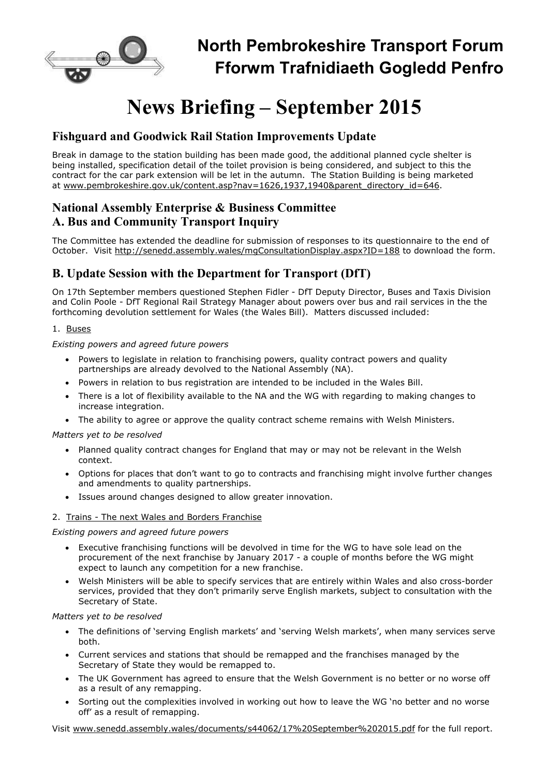

## **North Pembrokeshire Transport Forum Fforwm Trafnidiaeth Gogledd Penfro**

# **News Briefing – September 2015**

## **Fishguard and Goodwick Rail Station Improvements Update**

Break in damage to the station building has been made good, the additional planned cycle shelter is being installed, specification detail of the toilet provision is being considered, and subject to this the contract for the car park extension will be let in the autumn. The Station Building is being marketed at www.pembrokeshire.gov.uk/content.asp?nav=1626,1937,1940&parent\_directory\_id=646.

## **National Assembly Enterprise & Business Committee A. Bus and Community Transport Inquiry**

The Committee has extended the deadline for submission of responses to its questionnaire to the end of October. Visit http://senedd.assembly.wales/mgConsultationDisplay.aspx?ID=188 to download the form.

## **B. Update Session with the Department for Transport (DfT)**

On 17th September members questioned Stephen Fidler - DfT Deputy Director, Buses and Taxis Division and Colin Poole - DfT Regional Rail Strategy Manager about powers over bus and rail services in the the forthcoming devolution settlement for Wales (the Wales Bill). Matters discussed included:

#### 1. Buses

*Existing powers and agreed future powers*

- Powers to legislate in relation to franchising powers, quality contract powers and quality partnerships are already devolved to the National Assembly (NA).
- Powers in relation to bus registration are intended to be included in the Wales Bill.
- There is a lot of flexibility available to the NA and the WG with regarding to making changes to increase integration.
- The ability to agree or approve the quality contract scheme remains with Welsh Ministers.

*Matters yet to be resolved*

- Planned quality contract changes for England that may or may not be relevant in the Welsh context.
- Options for places that don't want to go to contracts and franchising might involve further changes and amendments to quality partnerships.
- Issues around changes designed to allow greater innovation.

#### 2. Trains - The next Wales and Borders Franchise

*Existing powers and agreed future powers*

- Executive franchising functions will be devolved in time for the WG to have sole lead on the procurement of the next franchise by January 2017 - a couple of months before the WG might expect to launch any competition for a new franchise.
- Welsh Ministers will be able to specify services that are entirely within Wales and also cross-border services, provided that they don't primarily serve English markets, subject to consultation with the Secretary of State.

*Matters yet to be resolved*

- The definitions of 'serving English markets' and 'serving Welsh markets', when many services serve both.
- Current services and stations that should be remapped and the franchises managed by the Secretary of State they would be remapped to.
- The UK Government has agreed to ensure that the Welsh Government is no better or no worse off as a result of any remapping.
- Sorting out the complexities involved in working out how to leave the WG 'no better and no worse off' as a result of remapping.

Visit www.senedd.assembly.wales/documents/s44062/17%20September%202015.pdf for the full report.